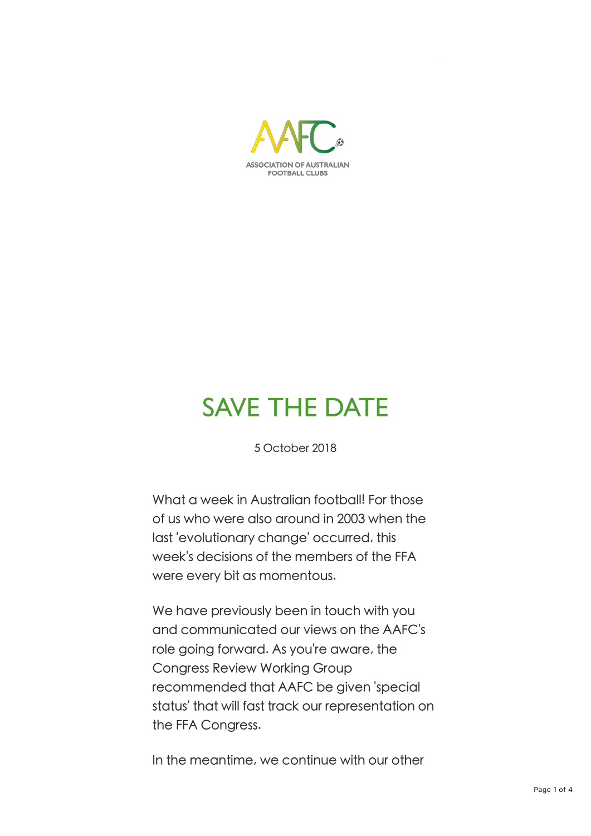

## SAVE THE DATE

5 October 2018

What a week in Australian football! For those of us who were also around in 2003 when the last 'evolutionary change' occurred, this week's decisions of the members of the FFA were every bit as momentous.

We have previously been in touch with you and communicated our views on the AAFC's role going forward. As you're aware, the Congress Review Working Group recommended that AAFC be given 'special status' that will fast track our representation on the FFA Congress.

In the meantime, we continue with our other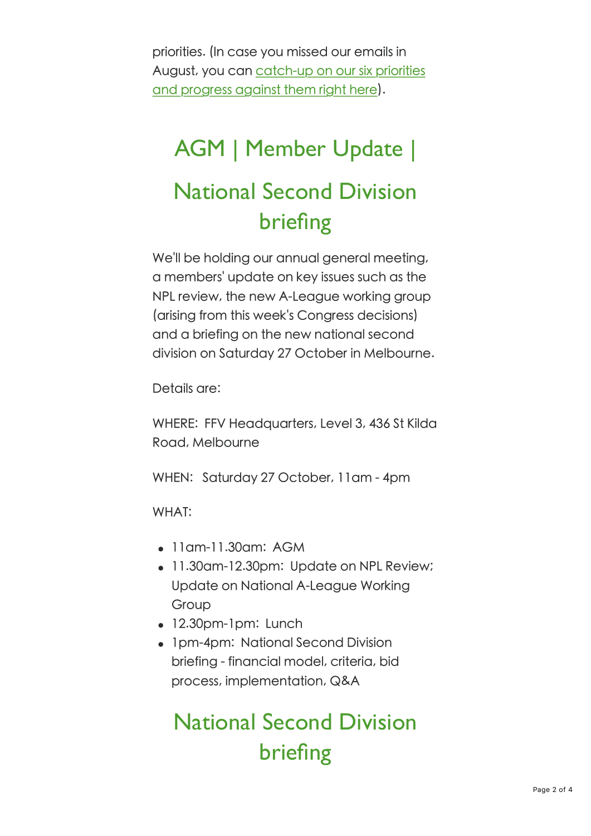priorities. (In case you missed our emails in August, you can catch-up on our six priorities and progress against them right here).

# AGM | Member Update | National Second Division briefing

We'll be holding our annual general meeting, a members' update on key issues such as the NPL review, the new A-League working group (arising from this week's Congress decisions) and a briefing on the new national second division on Saturday 27 October in Melbourne.

Details are:

WHERE: FFV Headquarters, Level 3, 436 St Kilda Road, Melbourne

WHEN: Saturday 27 October, 11am - 4pm

WHAT:

- $\bullet$  11 am-11.30 am: AGM
- 11.30am-12.30pm: Update on NPL Review; Update on National A-League Working Group
- $\bullet$  12.30pm-1pm: Lunch
- 1pm-4pm: National Second Division briefing - financial model, criteria, bid process, implementation, Q&A

### National Second Division briefing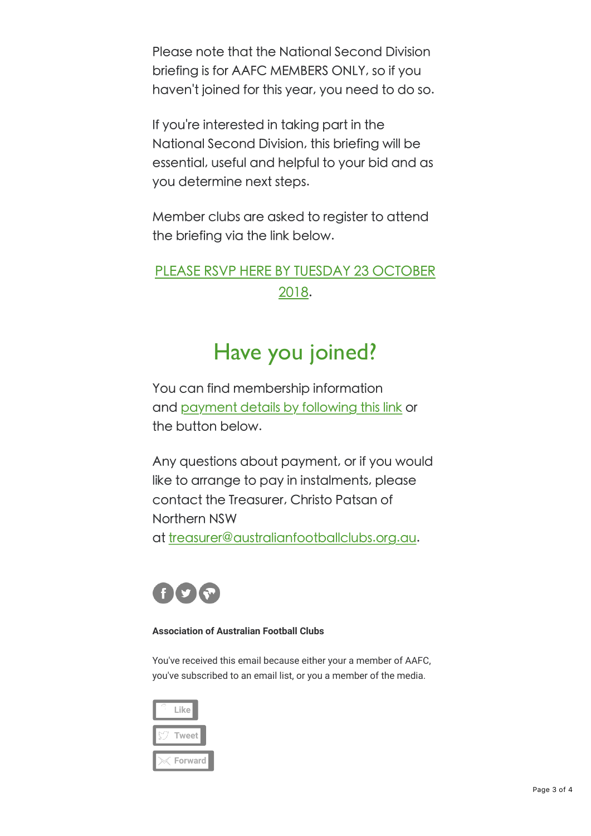Please note that the National Second Division briefing is for AAFC MEMBERS ONLY, so if you haven't joined for this year, you need to do so.

If you're interested in taking part in the National Second Division, this briefing will be essential, useful and helpful to your bid and as you determine next steps.

Member clubs are asked to reaister to attend the briefing via the link below.

### PLEASE RSVP HERE BY TUESDAY 23 OCTOBER 2018.

### Have you joined?

You can find membership information and payment details by following this link or the button below.

Any questions about payment, or if you would like to arrange to pay in instalments, please contact the Treasurer, Christo Patsan of Northern NSW

at treasurer@australianfootballclubs.org.au.



#### **Association of Australian Football Clubs**

You've received this email because either your a member of AAFC, you've subscribed to an email list, or you a member of the media.